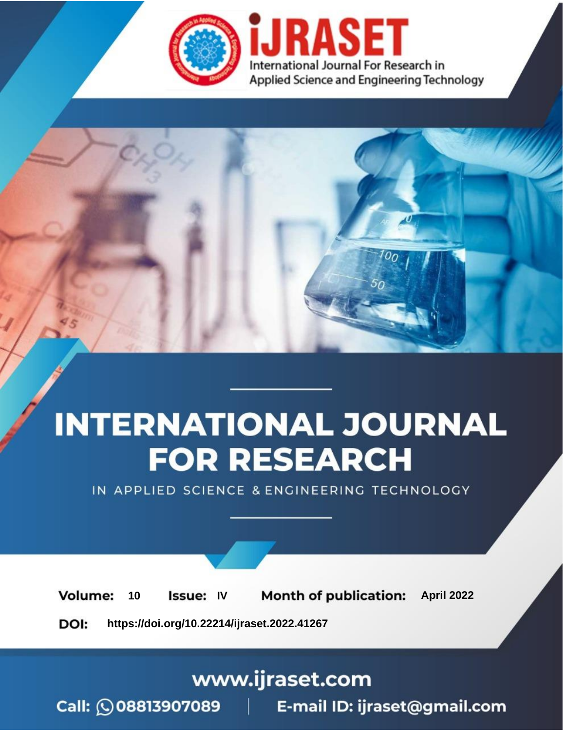

# **INTERNATIONAL JOURNAL FOR RESEARCH**

IN APPLIED SCIENCE & ENGINEERING TECHNOLOGY

10 **Issue: IV Month of publication:** April 2022 **Volume:** 

**https://doi.org/10.22214/ijraset.2022.41267**DOI:

www.ijraset.com

Call: 008813907089 | E-mail ID: ijraset@gmail.com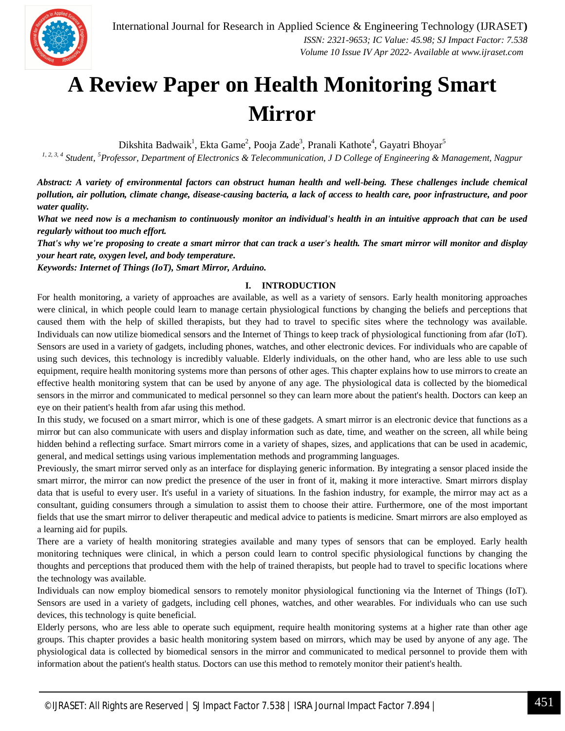

### **A Review Paper on Health Monitoring Smart Mirror**

Dikshita Badwaik<sup>1</sup>, Ekta Game<sup>2</sup>, Pooja Zade<sup>3</sup>, Pranali Kathote<sup>4</sup>, Gayatri Bhoyar<sup>5</sup>

*1, 2, 3, 4 Student, <sup>5</sup>Professor, Department of Electronics & Telecommunication, J D College of Engineering & Management, Nagpur*

*Abstract: A variety of environmental factors can obstruct human health and well-being. These challenges include chemical pollution, air pollution, climate change, disease-causing bacteria, a lack of access to health care, poor infrastructure, and poor water quality.* 

*What we need now is a mechanism to continuously monitor an individual's health in an intuitive approach that can be used regularly without too much effort.* 

*That's why we're proposing to create a smart mirror that can track a user's health. The smart mirror will monitor and display your heart rate, oxygen level, and body temperature.*

*Keywords: Internet of Things (IoT), Smart Mirror, Arduino.*

#### **I. INTRODUCTION**

For health monitoring, a variety of approaches are available, as well as a variety of sensors. Early health monitoring approaches were clinical, in which people could learn to manage certain physiological functions by changing the beliefs and perceptions that caused them with the help of skilled therapists, but they had to travel to specific sites where the technology was available. Individuals can now utilize biomedical sensors and the Internet of Things to keep track of physiological functioning from afar (IoT). Sensors are used in a variety of gadgets, including phones, watches, and other electronic devices. For individuals who are capable of using such devices, this technology is incredibly valuable. Elderly individuals, on the other hand, who are less able to use such equipment, require health monitoring systems more than persons of other ages. This chapter explains how to use mirrors to create an effective health monitoring system that can be used by anyone of any age. The physiological data is collected by the biomedical sensors in the mirror and communicated to medical personnel so they can learn more about the patient's health. Doctors can keep an eye on their patient's health from afar using this method.

In this study, we focused on a smart mirror, which is one of these gadgets. A smart mirror is an electronic device that functions as a mirror but can also communicate with users and display information such as date, time, and weather on the screen, all while being hidden behind a reflecting surface. Smart mirrors come in a variety of shapes, sizes, and applications that can be used in academic, general, and medical settings using various implementation methods and programming languages.

Previously, the smart mirror served only as an interface for displaying generic information. By integrating a sensor placed inside the smart mirror, the mirror can now predict the presence of the user in front of it, making it more interactive. Smart mirrors display data that is useful to every user. It's useful in a variety of situations. In the fashion industry, for example, the mirror may act as a consultant, guiding consumers through a simulation to assist them to choose their attire. Furthermore, one of the most important fields that use the smart mirror to deliver therapeutic and medical advice to patients is medicine. Smart mirrors are also employed as a learning aid for pupils.

There are a variety of health monitoring strategies available and many types of sensors that can be employed. Early health monitoring techniques were clinical, in which a person could learn to control specific physiological functions by changing the thoughts and perceptions that produced them with the help of trained therapists, but people had to travel to specific locations where the technology was available.

Individuals can now employ biomedical sensors to remotely monitor physiological functioning via the Internet of Things (IoT). Sensors are used in a variety of gadgets, including cell phones, watches, and other wearables. For individuals who can use such devices, this technology is quite beneficial.

Elderly persons, who are less able to operate such equipment, require health monitoring systems at a higher rate than other age groups. This chapter provides a basic health monitoring system based on mirrors, which may be used by anyone of any age. The physiological data is collected by biomedical sensors in the mirror and communicated to medical personnel to provide them with information about the patient's health status. Doctors can use this method to remotely monitor their patient's health.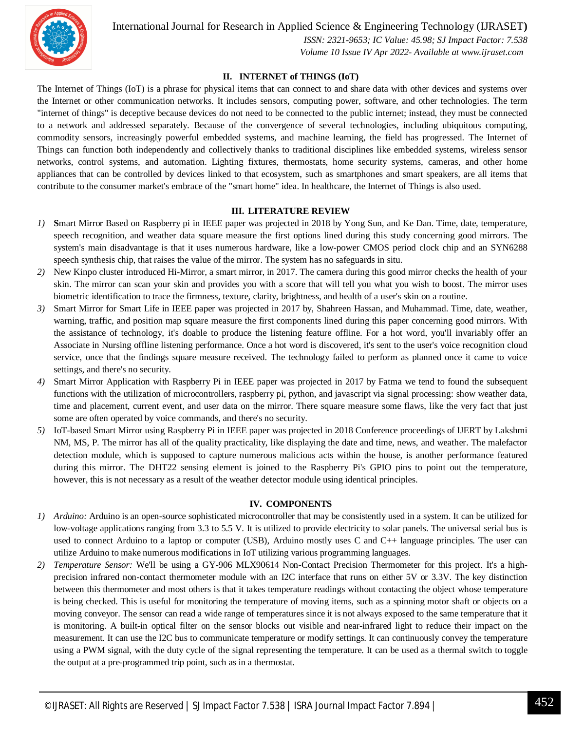

International Journal for Research in Applied Science & Engineering Technology (IJRASET**)**

 *ISSN: 2321-9653; IC Value: 45.98; SJ Impact Factor: 7.538 Volume 10 Issue IV Apr 2022- Available at www.ijraset.com*

#### **II. INTERNET of THINGS (IoT)**

The Internet of Things (IoT) is a phrase for physical items that can connect to and share data with other devices and systems over the Internet or other communication networks. It includes sensors, computing power, software, and other technologies. The term "internet of things" is deceptive because devices do not need to be connected to the public internet; instead, they must be connected to a network and addressed separately. Because of the convergence of several technologies, including ubiquitous computing, commodity sensors, increasingly powerful embedded systems, and machine learning, the field has progressed. The Internet of Things can function both independently and collectively thanks to traditional disciplines like embedded systems, wireless sensor networks, control systems, and automation. Lighting fixtures, thermostats, home security systems, cameras, and other home appliances that can be controlled by devices linked to that ecosystem, such as smartphones and smart speakers, are all items that contribute to the consumer market's embrace of the "smart home" idea. In healthcare, the Internet of Things is also used.

#### **III. LITERATURE REVIEW**

- *1)* **S**mart Mirror Based on Raspberry pi in IEEE paper was projected in 2018 by Yong Sun, and Ke Dan. Time, date, temperature, speech recognition, and weather data square measure the first options lined during this study concerning good mirrors. The system's main disadvantage is that it uses numerous hardware, like a low-power CMOS period clock chip and an SYN6288 speech synthesis chip, that raises the value of the mirror. The system has no safeguards in situ.
- *2)* New Kinpo cluster introduced Hi-Mirror, a smart mirror, in 2017. The camera during this good mirror checks the health of your skin. The mirror can scan your skin and provides you with a score that will tell you what you wish to boost. The mirror uses biometric identification to trace the firmness, texture, clarity, brightness, and health of a user's skin on a routine.
- *3)* Smart Mirror for Smart Life in IEEE paper was projected in 2017 by, Shahreen Hassan, and Muhammad. Time, date, weather, warning, traffic, and position map square measure the first components lined during this paper concerning good mirrors. With the assistance of technology, it's doable to produce the listening feature offline. For a hot word, you'll invariably offer an Associate in Nursing offline listening performance. Once a hot word is discovered, it's sent to the user's voice recognition cloud service, once that the findings square measure received. The technology failed to perform as planned once it came to voice settings, and there's no security.
- *4)* Smart Mirror Application with Raspberry Pi in IEEE paper was projected in 2017 by Fatma we tend to found the subsequent functions with the utilization of microcontrollers, raspberry pi, python, and javascript via signal processing: show weather data, time and placement, current event, and user data on the mirror. There square measure some flaws, like the very fact that just some are often operated by voice commands, and there's no security.
- *5)* IoT-based Smart Mirror using Raspberry Pi in IEEE paper was projected in 2018 Conference proceedings of IJERT by Lakshmi NM, MS, P. The mirror has all of the quality practicality, like displaying the date and time, news, and weather. The malefactor detection module, which is supposed to capture numerous malicious acts within the house, is another performance featured during this mirror. The DHT22 sensing element is joined to the Raspberry Pi's GPIO pins to point out the temperature, however, this is not necessary as a result of the weather detector module using identical principles.

#### **IV. COMPONENTS**

- *1) Arduino:* Arduino is an open-source sophisticated microcontroller that may be consistently used in a system. It can be utilized for low-voltage applications ranging from 3.3 to 5.5 V. It is utilized to provide electricity to solar panels. The universal serial bus is used to connect Arduino to a laptop or computer (USB), Arduino mostly uses C and C++ language principles. The user can utilize Arduino to make numerous modifications in IoT utilizing various programming languages.
- *2) Temperature Sensor:* We'll be using a GY-906 MLX90614 Non-Contact Precision Thermometer for this project. It's a highprecision infrared non-contact thermometer module with an I2C interface that runs on either 5V or 3.3V. The key distinction between this thermometer and most others is that it takes temperature readings without contacting the object whose temperature is being checked. This is useful for monitoring the temperature of moving items, such as a spinning motor shaft or objects on a moving conveyor. The sensor can read a wide range of temperatures since it is not always exposed to the same temperature that it is monitoring. A built-in optical filter on the sensor blocks out visible and near-infrared light to reduce their impact on the measurement. It can use the I2C bus to communicate temperature or modify settings. It can continuously convey the temperature using a PWM signal, with the duty cycle of the signal representing the temperature. It can be used as a thermal switch to toggle the output at a pre-programmed trip point, such as in a thermostat.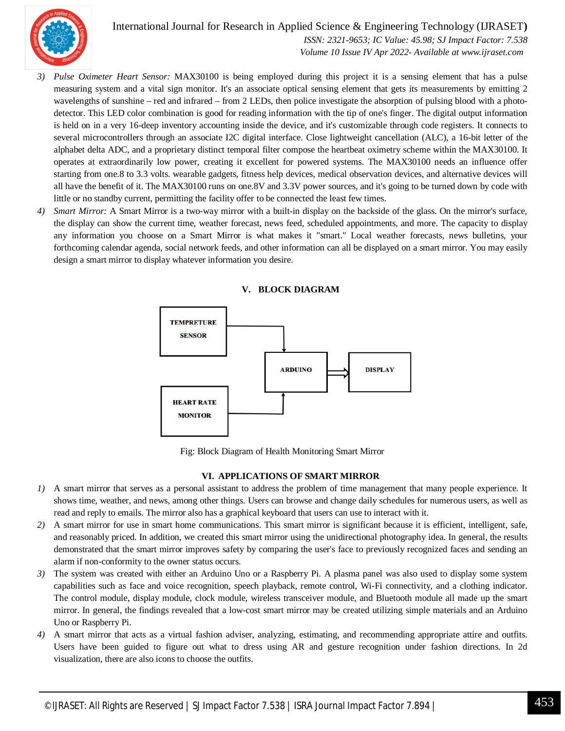

International Journal for Research in Applied Science & Engineering Technology (IJRASET**)**

 *ISSN: 2321-9653; IC Value: 45.98; SJ Impact Factor: 7.538 Volume 10 Issue IV Apr 2022- Available at www.ijraset.com*

- *3) Pulse Oximeter Heart Sensor:* MAX30100 is being employed during this project it is a sensing element that has a pulse measuring system and a vital sign monitor. It's an associate optical sensing element that gets its measurements by emitting 2 wavelengths of sunshine – red and infrared – from 2 LEDs, then police investigate the absorption of pulsing blood with a photodetector. This LED color combination is good for reading information with the tip of one's finger. The digital output information is held on in a very 16-deep inventory accounting inside the device, and it's customizable through code registers. It connects to several microcontrollers through an associate I2C digital interface. Close lightweight cancellation (ALC), a 16-bit letter of the alphabet delta ADC, and a proprietary distinct temporal filter compose the heartbeat oximetry scheme within the MAX30100. It operates at extraordinarily low power, creating it excellent for powered systems. The MAX30100 needs an influence offer starting from one.8 to 3.3 volts. wearable gadgets, fitness help devices, medical observation devices, and alternative devices will all have the benefit of it. The MAX30100 runs on one.8V and 3.3V power sources, and it's going to be turned down by code with little or no standby current, permitting the facility offer to be connected the least few times.
- *4) Smart Mirror:* A Smart Mirror is a two-way mirror with a built-in display on the backside of the glass. On the mirror's surface, the display can show the current time, weather forecast, news feed, scheduled appointments, and more. The capacity to display any information you choose on a Smart Mirror is what makes it "smart." Local weather forecasts, news bulletins, your forthcoming calendar agenda, social network feeds, and other information can all be displayed on a smart mirror. You may easily design a smart mirror to display whatever information you desire.



Fig: Block Diagram of Health Monitoring Smart Mirror

#### **VI. APPLICATIONS OF SMART MIRROR**

- *1)* A smart mirror that serves as a personal assistant to address the problem of time management that many people experience. It shows time, weather, and news, among other things. Users can browse and change daily schedules for numerous users, as well as read and reply to emails. The mirror also has a graphical keyboard that users can use to interact with it.
- *2)* A smart mirror for use in smart home communications. This smart mirror is significant because it is efficient, intelligent, safe, and reasonably priced. In addition, we created this smart mirror using the unidirectional photography idea. In general, the results demonstrated that the smart mirror improves safety by comparing the user's face to previously recognized faces and sending an alarm if non-conformity to the owner status occurs.
- *3)* The system was created with either an Arduino Uno or a Raspberry Pi. A plasma panel was also used to display some system capabilities such as face and voice recognition, speech playback, remote control, Wi-Fi connectivity, and a clothing indicator. The control module, display module, clock module, wireless transceiver module, and Bluetooth module all made up the smart mirror. In general, the findings revealed that a low-cost smart mirror may be created utilizing simple materials and an Arduino Uno or Raspberry Pi.
- *4)* A smart mirror that acts as a virtual fashion adviser, analyzing, estimating, and recommending appropriate attire and outfits. Users have been guided to figure out what to dress using AR and gesture recognition under fashion directions. In 2d visualization, there are also icons to choose the outfits.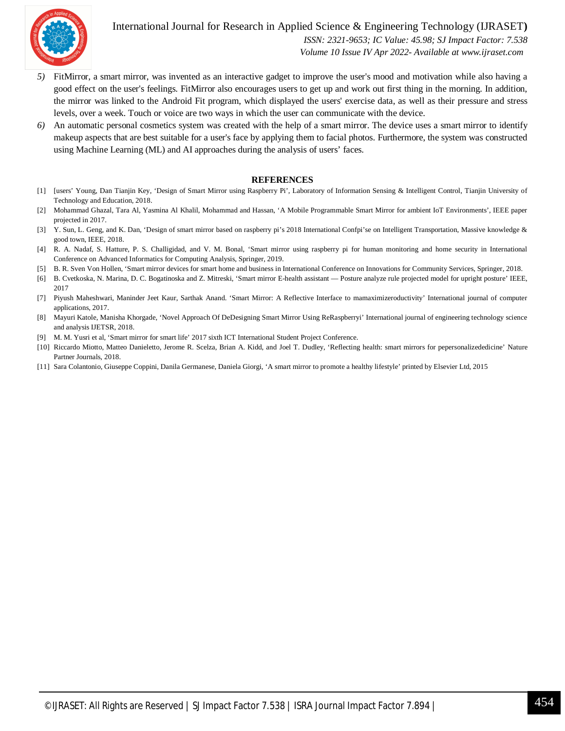

International Journal for Research in Applied Science & Engineering Technology (IJRASET**)**

 *ISSN: 2321-9653; IC Value: 45.98; SJ Impact Factor: 7.538 Volume 10 Issue IV Apr 2022- Available at www.ijraset.com*

- *5)* FitMirror, a smart mirror, was invented as an interactive gadget to improve the user's mood and motivation while also having a good effect on the user's feelings. FitMirror also encourages users to get up and work out first thing in the morning. In addition, the mirror was linked to the Android Fit program, which displayed the users' exercise data, as well as their pressure and stress levels, over a week. Touch or voice are two ways in which the user can communicate with the device.
- *6)* An automatic personal cosmetics system was created with the help of a smart mirror. The device uses a smart mirror to identify makeup aspects that are best suitable for a user's face by applying them to facial photos. Furthermore, the system was constructed using Machine Learning (ML) and AI approaches during the analysis of users' faces.

#### **REFERENCES**

- [1] [users' Young, Dan Tianjin Key, 'Design of Smart Mirror using Raspberry Pi', Laboratory of Information Sensing & Intelligent Control, Tianjin University of Technology and Education, 2018.
- [2] Mohammad Ghazal, Tara Al, Yasmina Al Khalil, Mohammad and Hassan, 'A Mobile Programmable Smart Mirror for ambient IoT Environments', IEEE paper projected in 2017.
- [3] Y. Sun, L. Geng, and K. Dan, 'Design of smart mirror based on raspberry pi's 2018 International Confpi'se on Intelligent Transportation, Massive knowledge & good town, IEEE, 2018.
- [4] R. A. Nadaf, S. Hatture, P. S. Challigidad, and V. M. Bonal, 'Smart mirror using raspberry pi for human monitoring and home security in International Conference on Advanced Informatics for Computing Analysis, Springer, 2019.
- [5] B. R. Sven Von Hollen, 'Smart mirror devices for smart home and business in International Conference on Innovations for Community Services, Springer, 2018.
- [6] B. Cvetkoska, N. Marina, D. C. Bogatinoska and Z. Mitreski, 'Smart mirror E-health assistant Posture analyze rule projected model for upright posture' IEEE, 2017
- [7] Piyush Maheshwari, Maninder Jeet Kaur, Sarthak Anand. 'Smart Mirror: A Reflective Interface to mamaximizeroductivity' International journal of computer applications, 2017.
- [8] Mayuri Katole, Manisha Khorgade, 'Novel Approach Of DeDesigning Smart Mirror Using ReRaspberryi' International journal of engineering technology science and analysis IJETSR, 2018.
- [9] M. M. Yusri et al, 'Smart mirror for smart life' 2017 sixth ICT International Student Project Conference.
- [10] Riccardo Miotto, Matteo Danieletto, Jerome R. Scelza, Brian A. Kidd, and Joel T. Dudley, 'Reflecting health: smart mirrors for pepersonalizededicine' Nature Partner Journals, 2018.
- [11] Sara Colantonio, Giuseppe Coppini, Danila Germanese, Daniela Giorgi, 'A smart mirror to promote a healthy lifestyle' printed by Elsevier Ltd, 2015